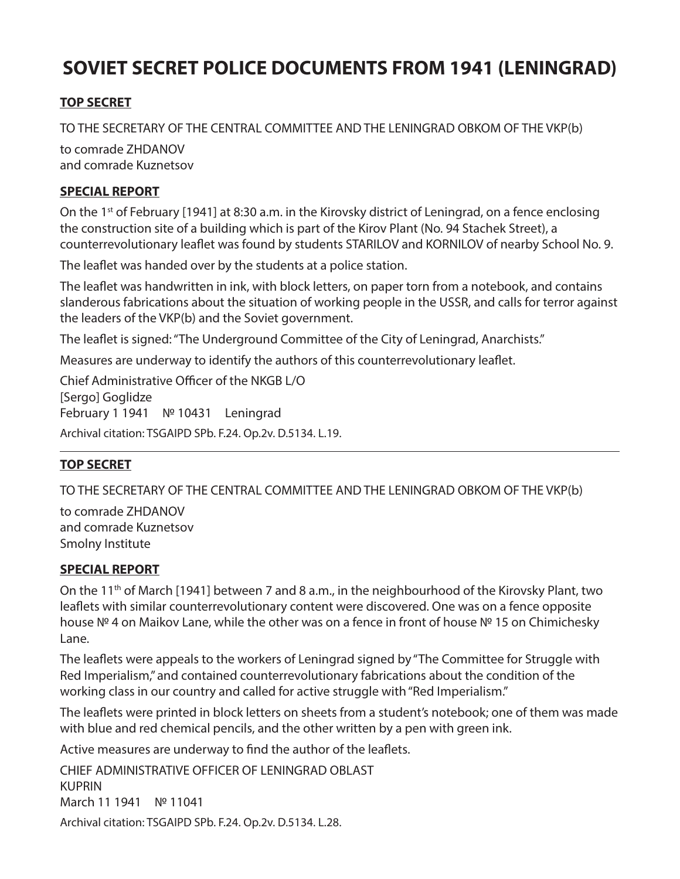# **SOVIET SECRET POLICE DOCUMENTS FROM 1941 (LENINGRAD)**

## **TOP SECRET**

TO THE SECRETARY OF THE CENTRAL COMMITTEE AND THE LENINGRAD OBKOM OF THE VKP(b)

to comrade ZHDANOV and comrade Kuznetsov

#### **SPECIAL REPORT**

On the 1<sup>st</sup> of February [1941] at 8:30 a.m. in the Kirovsky district of Leningrad, on a fence enclosing the construction site of a building which is part of the Kirov Plant (No. 94 Stachek Street), a counterrevolutionary leaflet was found by students STARILOV and KORNILOV of nearby School No. 9.

The leaflet was handed over by the students at a police station.

The leaflet was handwritten in ink, with block letters, on paper torn from a notebook, and contains slanderous fabrications about the situation of working people in the USSR, and calls for terror against the leaders of the VKP(b) and the Soviet government.

The leaflet is signed: "The Underground Committee of the City of Leningrad, Anarchists."

Measures are underway to identify the authors of this counterrevolutionary leaflet.

Chief Administrative Officer of the NKGB L/O [Sergo] Goglidze February 1 1941 № 10431 Leningrad Archival citation: TSGAIPD SPb. F.24. Op.2v. D.5134. L.19.

### **TOP SECRET**

TO THE SECRETARY OF THE CENTRAL COMMITTEE AND THE LENINGRAD OBKOM OF THE VKP(b)

to comrade ZHDANOV and comrade Kuznetsov Smolny Institute

#### **SPECIAL REPORT**

On the 11<sup>th</sup> of March [1941] between 7 and 8 a.m., in the neighbourhood of the Kirovsky Plant, two leaflets with similar counterrevolutionary content were discovered. One was on a fence opposite house № 4 on Maikov Lane, while the other was on a fence in front of house № 15 on Chimichesky Lane.

The leaflets were appeals to the workers of Leningrad signed by "The Committee for Struggle with Red Imperialism," and contained counterrevolutionary fabrications about the condition of the working class in our country and called for active struggle with "Red Imperialism."

The leaflets were printed in block letters on sheets from a student's notebook; one of them was made with blue and red chemical pencils, and the other written by a pen with green ink.

Active measures are underway to find the author of the leaflets.

CHIEF ADMINISTRATIVE OFFICER OF LENINGRAD OBLAST KUPRIN March 11 1941 № 11041

Archival citation: TSGAIPD SPb. F.24. Op.2v. D.5134. L.28.